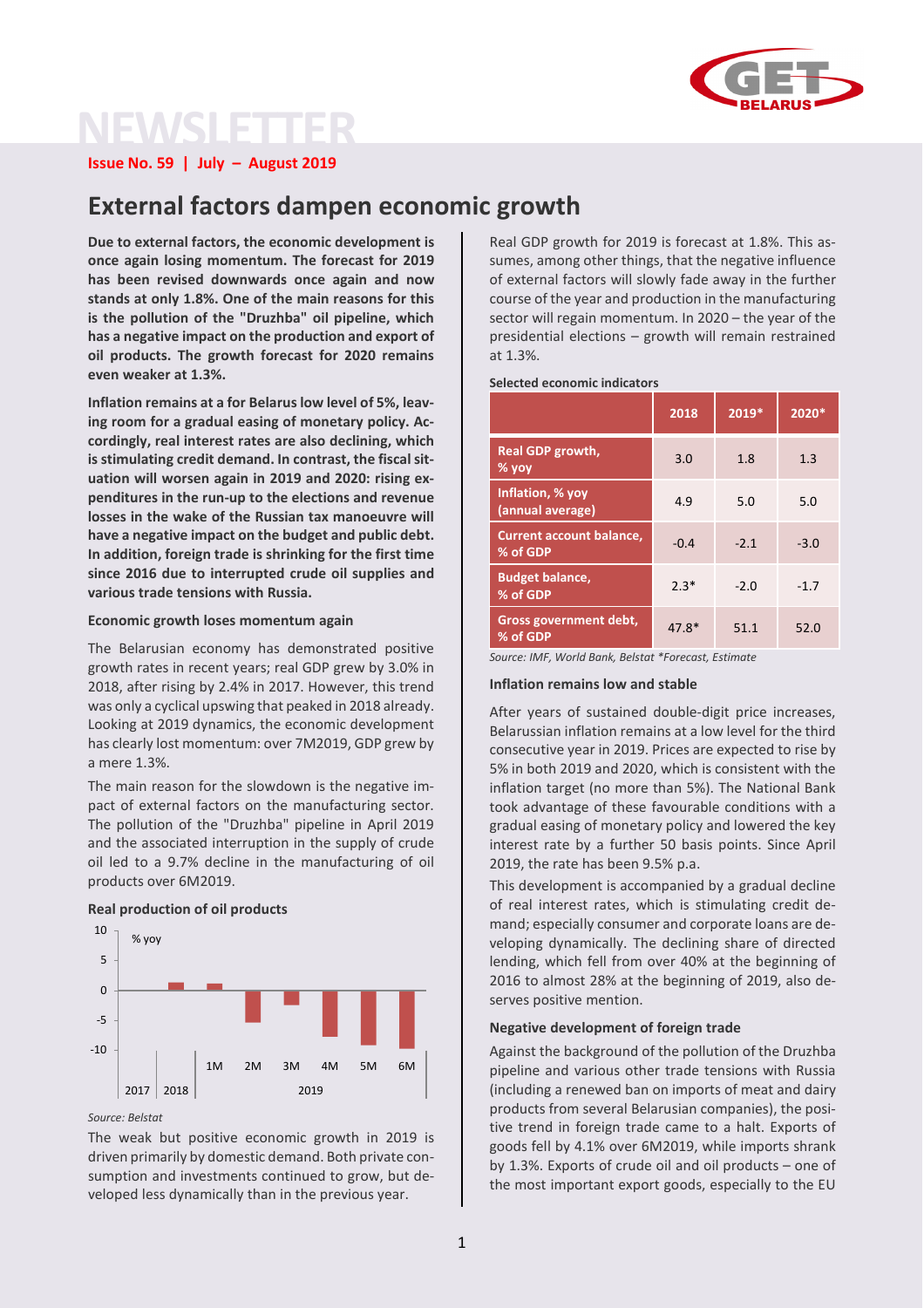

# **NEWSLETTER**

**Issue No. 59 | July – August 2019**

# **External factors dampen economic growth**

**Due to external factors, the economic development is once again losing momentum. The forecast for 2019 has been revised downwards once again and now stands at only 1.8%. One of the main reasons for this is the pollution of the "Druzhba" oil pipeline, which has a negative impact on the production and export of oil products. The growth forecast for 2020 remains even weaker at 1.3%.**

**Inflation remains at a for Belaruslow level of 5%, leaving room for a gradual easing of monetary policy. Accordingly, real interest rates are also declining, which is stimulating credit demand. In contrast, the fiscalsituation will worsen again in 2019 and 2020: rising expenditures in the run-up to the elections and revenue losses in the wake of the Russian tax manoeuvre will have a negative impact on the budget and public debt. In addition, foreign trade is shrinking for the first time since 2016 due to interrupted crude oil supplies and various trade tensions with Russia.**

# **Economic growth loses momentum again**

The Belarusian economy has demonstrated positive growth rates in recent years; real GDP grew by 3.0% in 2018, after rising by 2.4% in 2017. However, this trend was only a cyclical upswing that peaked in 2018 already. Looking at 2019 dynamics, the economic development has clearly lost momentum: over 7M2019, GDP grew by a mere 1.3%.

The main reason for the slowdown is the negative impact of external factors on the manufacturing sector. The pollution of the "Druzhba" pipeline in April 2019 and the associated interruption in the supply of crude oil led to a 9.7% decline in the manufacturing of oil products over 6M2019.

# **Real production of oil products**



*Source: Belstat*

10

The weak but positive economic growth in 2019 is driven primarily by domestic demand. Both private consumption and investments continued to grow, but developed less dynamically than in the previous year.

Real GDP growth for 2019 is forecast at 1.8%. This assumes, among other things, that the negative influence of external factors will slowly fade away in the further course of the year and production in the manufacturing sector will regain momentum. In 2020 – the year of the presidential elections – growth will remain restrained at 1.3%.

#### **Selected economic indicators**

|                                             | 2018   | 2019*  | 2020*  |
|---------------------------------------------|--------|--------|--------|
| <b>Real GDP growth,</b><br>$%$ yoy          | 3.0    | 1.8    | 1.3    |
| Inflation, % yoy<br>(annual average)        | 4.9    | 5.0    | 5.0    |
| <b>Current account balance,</b><br>% of GDP | $-0.4$ | $-2.1$ | $-3.0$ |
| <b>Budget balance,</b><br>% of GDP          | $2.3*$ | $-2.0$ | $-1.7$ |
| Gross government debt,<br>% of GDP          | 47.8*  | 51.1   | 52.0   |

*Source: IMF, World Bank, Belstat \*Forecast, Estimate*

#### **Inflation remains low and stable**

After years of sustained double-digit price increases, Belarussian inflation remains at a low level for the third consecutive year in 2019. Prices are expected to rise by 5% in both 2019 and 2020, which is consistent with the inflation target (no more than 5%). The National Bank took advantage of these favourable conditions with a gradual easing of monetary policy and lowered the key interest rate by a further 50 basis points. Since April 2019, the rate has been 9.5% p.a.

This development is accompanied by a gradual decline of real interest rates, which is stimulating credit demand; especially consumer and corporate loans are developing dynamically. The declining share of directed lending, which fell from over 40% at the beginning of 2016 to almost 28% at the beginning of 2019, also deserves positive mention.

#### **Negative development of foreign trade**

Against the background of the pollution of the Druzhba pipeline and various other trade tensions with Russia (including a renewed ban on imports of meat and dairy products from several Belarusian companies), the positive trend in foreign trade came to a halt. Exports of goods fell by 4.1% over 6M2019, while imports shrank by 1.3%. Exports of crude oil and oil products – one of the most important export goods, especially to the EU